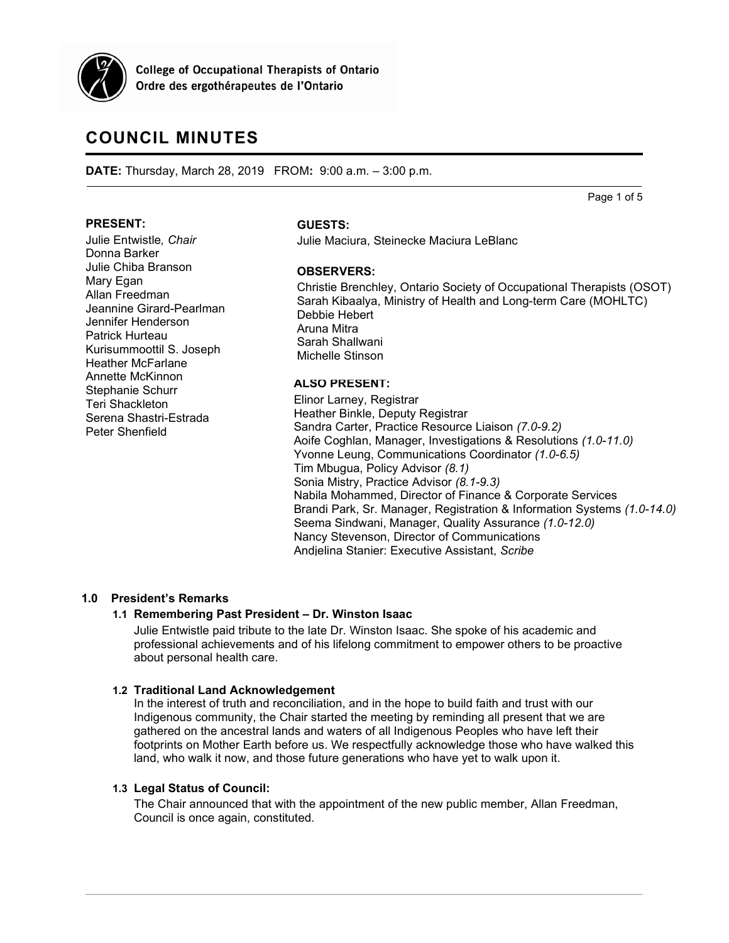

**College of Occupational Therapists of Ontario** Ordre des ergothérapeutes de l'Ontario

# **COUNCIL MINUTES**

**DATE:** Thursday, March 28, 2019 FROM**:** 9:00 a.m. – 3:00 p.m.

Page 1 of 5

#### **PRESENT:**

Julie Entwistle*, Chair* Donna Barker Julie Chiba Branson Mary Egan Allan Freedman Jeannine Girard-Pearlman Jennifer Henderson Patrick Hurteau Kurisummoottil S. Joseph Heather McFarlane Annette McKinnon Stephanie Schurr Teri Shackleton Serena Shastri-Estrada Peter Shenfield

#### **GUESTS:**

Julie Maciura, Steinecke Maciura LeBlanc

#### **OBSERVERS:**

Christie Brenchley, Ontario Society of Occupational Therapists (OSOT) Sarah Kibaalya, Ministry of Health and Long-term Care (MOHLTC) Debbie Hebert Aruna Mitra Sarah Shallwani Michelle Stinson

### **ALSO PRESENT:**

Elinor Larney, Registrar Heather Binkle, Deputy Registrar Sandra Carter, Practice Resource Liaison *(7.0-9.2)* Aoife Coghlan, Manager, Investigations & Resolutions *(1.0-11.0)* Yvonne Leung, Communications Coordinator *(1.0-6.5)* Tim Mbugua, Policy Advisor *(8.1)* Sonia Mistry, Practice Advisor *(8.1-9.3)* Nabila Mohammed, Director of Finance & Corporate Services Brandi Park, Sr. Manager, Registration & Information Systems *(1.0-14.0)* Seema Sindwani, Manager, Quality Assurance *(1.0-12.0)* Nancy Stevenson, Director of Communications Andjelina Stanier: Executive Assistant, *Scribe*

### **1.0 President's Remarks**

### **1.1 Remembering Past President – Dr. Winston Isaac**

Julie Entwistle paid tribute to the late Dr. Winston Isaac. She spoke of his academic and professional achievements and of his lifelong commitment to empower others to be proactive about personal health care.

#### **1.2 Traditional Land Acknowledgement**

In the interest of truth and reconciliation, and in the hope to build faith and trust with our Indigenous community, the Chair started the meeting by reminding all present that we are gathered on the ancestral lands and waters of all Indigenous Peoples who have left their footprints on Mother Earth before us. We respectfully acknowledge those who have walked this land, who walk it now, and those future generations who have yet to walk upon it.

#### **1.3 Legal Status of Council:**

The Chair announced that with the appointment of the new public member, Allan Freedman, Council is once again, constituted.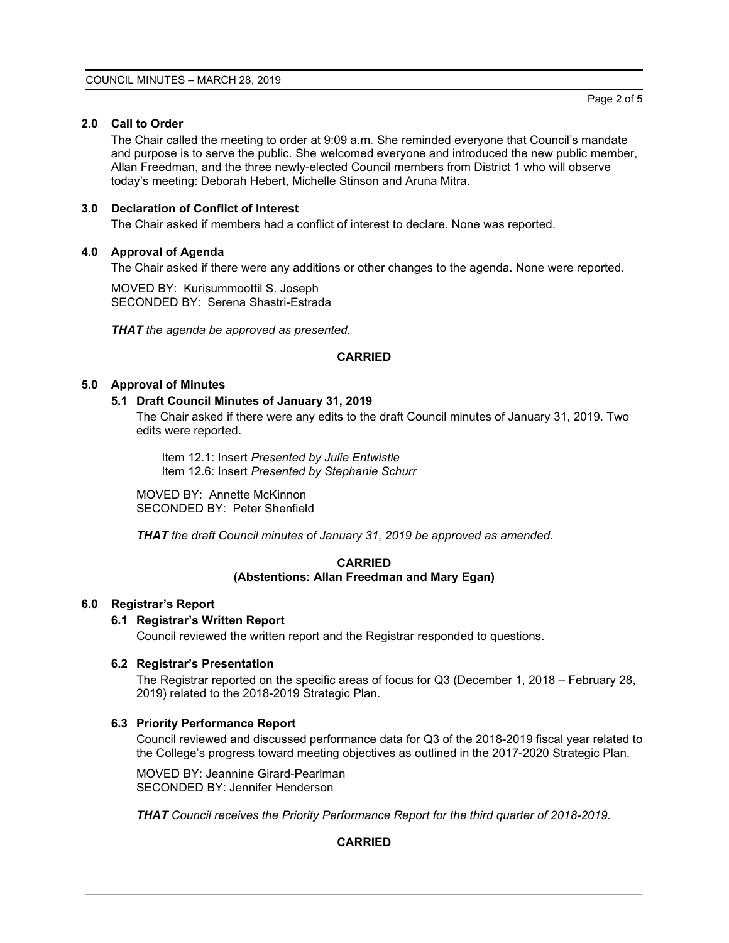# **2.0 Call to Order**

The Chair called the meeting to order at 9:09 a.m. She reminded everyone that Council's mandate and purpose is to serve the public. She welcomed everyone and introduced the new public member, Allan Freedman, and the three newly-elected Council members from District 1 who will observe today's meeting: Deborah Hebert, Michelle Stinson and Aruna Mitra.

# **3.0 Declaration of Conflict of Interest**

The Chair asked if members had a conflict of interest to declare. None was reported.

# **4.0 Approval of Agenda**

The Chair asked if there were any additions or other changes to the agenda. None were reported.

MOVED BY: Kurisummoottil S. Joseph SECONDED BY: Serena Shastri-Estrada

*THAT the agenda be approved as presented.*

# **CARRIED**

# **5.0 Approval of Minutes**

# **5.1 Draft Council Minutes of January 31, 2019**

The Chair asked if there were any edits to the draft Council minutes of January 31, 2019. Two edits were reported.

Item 12.1: Insert *Presented by Julie Entwistle* Item 12.6: Insert *Presented by Stephanie Schurr*

MOVED BY: Annette McKinnon SECONDED BY: Peter Shenfield

*THAT the draft Council minutes of January 31, 2019 be approved as amended.*

# **CARRIED (Abstentions: Allan Freedman and Mary Egan)**

### **6.0 Registrar's Report**

### **6.1 Registrar's Written Report**

Council reviewed the written report and the Registrar responded to questions.

### **6.2 Registrar's Presentation**

The Registrar reported on the specific areas of focus for Q3 (December 1, 2018 – February 28, 2019) related to the 2018-2019 Strategic Plan.

### **6.3 Priority Performance Report**

Council reviewed and discussed performance data for Q3 of the 2018-2019 fiscal year related to the College's progress toward meeting objectives as outlined in the 2017-2020 Strategic Plan.

MOVED BY: Jeannine Girard-Pearlman SECONDED BY: Jennifer Henderson

*THAT Council receives the Priority Performance Report for the third quarter of 2018-2019.*

# **CARRIED**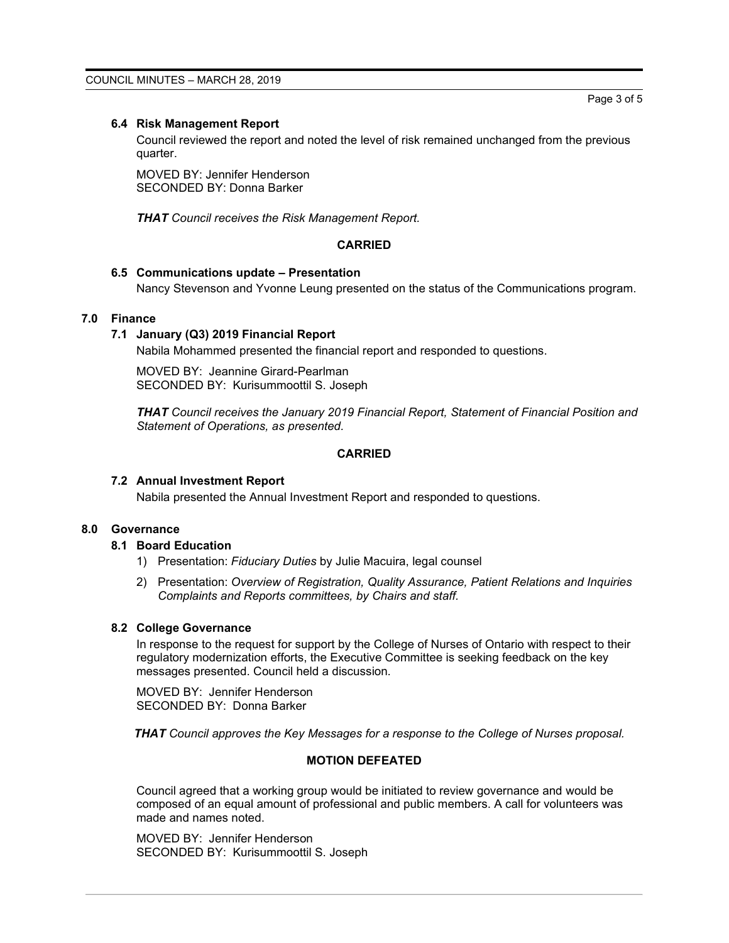### **6.4 Risk Management Report**

Council reviewed the report and noted the level of risk remained unchanged from the previous quarter.

MOVED BY: Jennifer Henderson SECONDED BY: Donna Barker

*THAT Council receives the Risk Management Report.*

#### **CARRIED**

### **6.5 Communications update – Presentation**

Nancy Stevenson and Yvonne Leung presented on the status of the Communications program.

### **7.0 Finance**

### **7.1 January (Q3) 2019 Financial Report**

Nabila Mohammed presented the financial report and responded to questions.

MOVED BY: Jeannine Girard-Pearlman SECONDED BY: Kurisummoottil S. Joseph

*THAT Council receives the January 2019 Financial Report, Statement of Financial Position and Statement of Operations, as presented.*

### **CARRIED**

#### **7.2 Annual Investment Report**

Nabila presented the Annual Investment Report and responded to questions.

#### **8.0 Governance**

### **8.1 Board Education**

- 1) Presentation: *Fiduciary Duties* by Julie Macuira, legal counsel
- 2) Presentation: *Overview of Registration, Quality Assurance, Patient Relations and Inquiries Complaints and Reports committees, by Chairs and staff.*

### **8.2 College Governance**

In response to the request for support by the College of Nurses of Ontario with respect to their regulatory modernization efforts, the Executive Committee is seeking feedback on the key messages presented. Council held a discussion.

MOVED BY: Jennifer Henderson SECONDED BY: Donna Barker

*THAT Council approves the Key Messages for a response to the College of Nurses proposal.*

### **MOTION DEFEATED**

Council agreed that a working group would be initiated to review governance and would be composed of an equal amount of professional and public members. A call for volunteers was made and names noted.

MOVED BY: Jennifer Henderson SECONDED BY: Kurisummoottil S. Joseph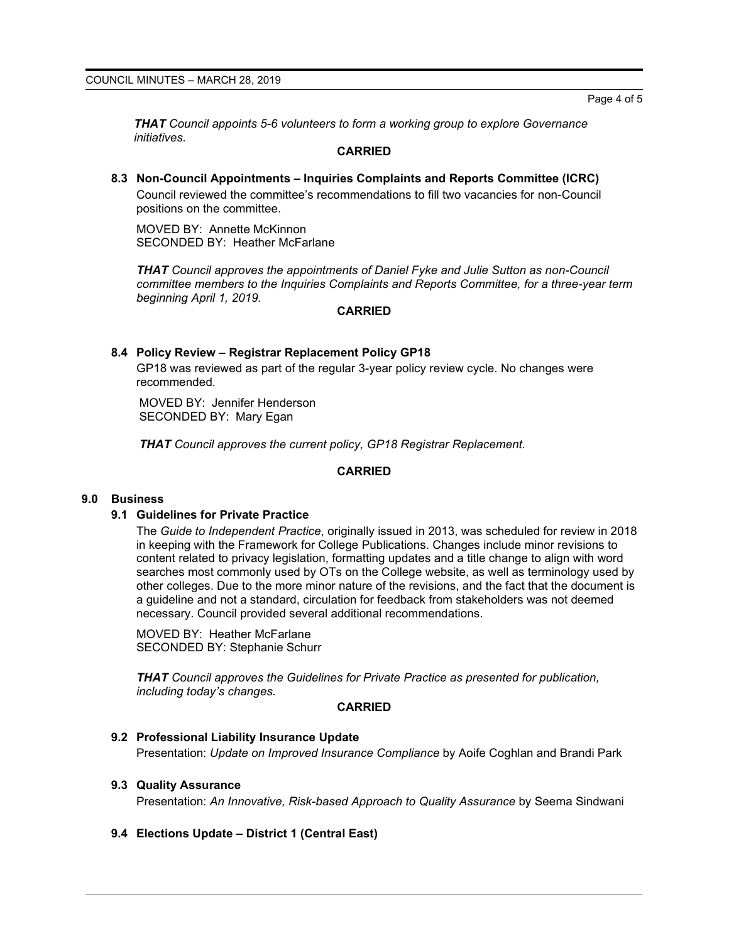*THAT Council appoints 5-6 volunteers to form a working group to explore Governance initiatives.*

### **CARRIED**

**8.3 Non-Council Appointments – Inquiries Complaints and Reports Committee (ICRC)** Council reviewed the committee's recommendations to fill two vacancies for non-Council positions on the committee.

MOVED BY: Annette McKinnon SECONDED BY: Heather McFarlane

*THAT Council approves the appointments of Daniel Fyke and Julie Sutton as non-Council committee members to the Inquiries Complaints and Reports Committee, for a three-year term beginning April 1, 2019.*

### **CARRIED**

### **8.4 Policy Review – Registrar Replacement Policy GP18**

GP18 was reviewed as part of the regular 3-year policy review cycle. No changes were recommended.

MOVED BY: Jennifer Henderson SECONDED BY: Mary Egan

*THAT Council approves the current policy, GP18 Registrar Replacement.*

# **CARRIED**

### **9.0 Business**

### **9.1 Guidelines for Private Practice**

The *Guide to Independent Practice*, originally issued in 2013, was scheduled for review in 2018 in keeping with the Framework for College Publications. Changes include minor revisions to content related to privacy legislation, formatting updates and a title change to align with word searches most commonly used by OTs on the College website, as well as terminology used by other colleges. Due to the more minor nature of the revisions, and the fact that the document is a guideline and not a standard, circulation for feedback from stakeholders was not deemed necessary. Council provided several additional recommendations.

MOVED BY: Heather McFarlane SECONDED BY: Stephanie Schurr

*THAT Council approves the Guidelines for Private Practice as presented for publication, including today's changes.*

### **CARRIED**

### **9.2 Professional Liability Insurance Update**

Presentation: *Update on Improved Insurance Compliance* by Aoife Coghlan and Brandi Park

# **9.3 Quality Assurance**

Presentation: *An Innovative, Risk-based Approach to Quality Assurance* by Seema Sindwani

### **9.4 Elections Update – District 1 (Central East)**